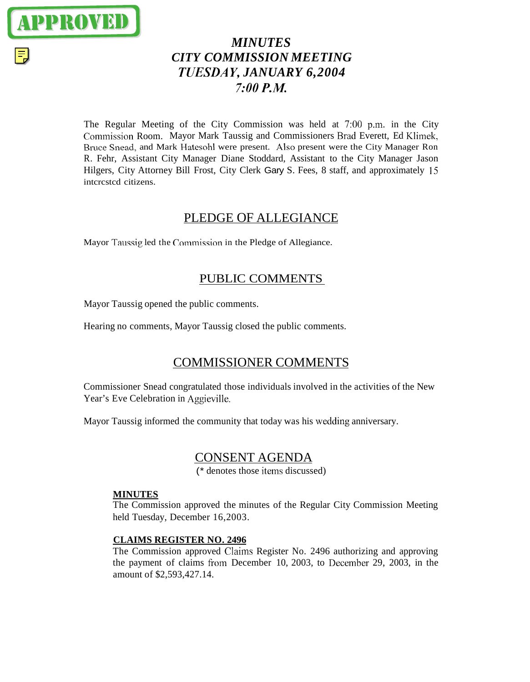

# *MINUTES CITY COMMISSION MEETING TUESDA y1 JANUARY 6,2004*  **7:OO** *P.M.*

The Regular Meeting of the City Commission was held at 7:00 p.m. in the City Commission Room. Mayor Mark Taussig and Commissioners Brad Everett, Ed Klimek, Rruce Snead, and Mark Hatesohl were present. Also present were the City Manager Ron R. Fehr, Assistant City Manager Diane Stoddard, Assistant to the City Manager Jason Hilgers, City Attorney Bill Frost, City Clerk Gary S. Fees, 8 staff, and approximately 15 intcrcstcd citizens.

## PLEDGE OF ALLEGIANCE

Mayor Taussig led the Commission in the Pledge of Allegiance.

## PUBLIC COMMENTS

Mayor Taussig opened the public comments.

Hearing no comments, Mayor Taussig closed the public comments.

## COMMISSIONER COMMENTS

Commissioner Snead congratulated those individuals involved in the activities of the New Year's Eve Celebration in Aggieville.

Mayor Taussig informed the community that today was his wcdding anniversary.

## CONSENT AGENDA

(\* denotes those items discussed)

### **MINUTES**

The Commission approved the minutes of the Regular City Commission Meeting held Tuesday, December 16,2003.

## **CLAIMS REGISTER NO. 2496**

The Commission approved Claims Register No. 2496 authorizing and approving the payment of claims from December 10, 2003, to December 29, 2003, in the amount of \$2,593,427.14.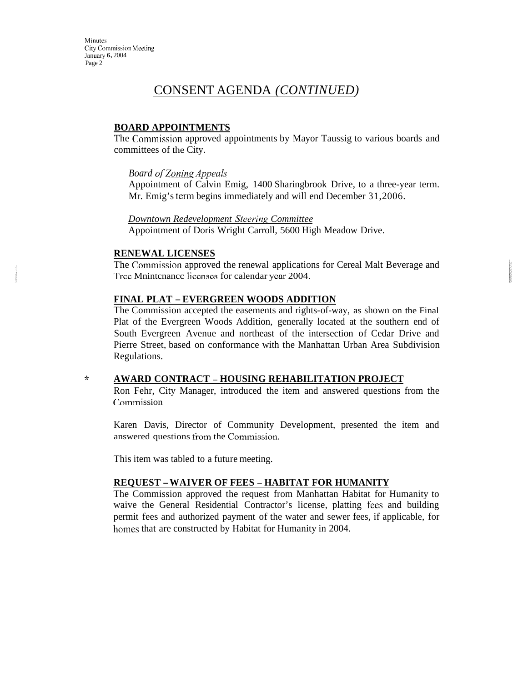Minutes City Commission Meeting Januaiy **6,** 2004 Page 2

## CONSENT AGENDA *(CONTINUED)*

### **BOARD APPOINTMENTS**

The Commission approved appointments by Mayor Taussig to various boards and committees of the City.

#### **Board of Zoning Appeals**

Appointment of Calvin Emig, 1400 Sharingbrook Drive, to a three-year term. Mr. Emig's term begins immediately and will end December 31,2006.

#### *Downtown Redevelopment Stcerinp Committee*

Appointment of Doris Wright Carroll, 5600 High Meadow Drive.

#### **RENEWAL LICENSES**

The Commission approved the renewal applications for Cereal Malt Beverage and Trcc Mnintcnancc licenses for calendar ycar 2004.

### **FINAL PLAT** - **EVERGREEN WOODS ADDITION**

The Commission accepted the easements and rights-of-way, as shown on the Final Plat of the Evergreen Woods Addition, generally located at the southern end of South Evergreen Avenue and northeast of the intersection of Cedar Drive and Pierre Street, based on conformance with the Manhattan Urban Area Subdivision Regulations.

#### **Jr AWARD CONTRACT** - **HOUSING REHABILITATION PROJECT**

Ron Fehr, City Manager, introduced the item and answered questions from the Commission

Karen Davis, Director of Community Development, presented the item and answered questions from the Commission.

This item was tabled to a future meeting.

#### **REQUEST -WAIVER OF FEES** - **HABITAT FOR HUMANITY**

The Commission approved the request from Manhattan Habitat for Humanity to waive the General Residential Contractor's license, platting fees and building permit fees and authorized payment of the water and sewer fees, if applicable, for homes that are constructed by Habitat for Humanity in 2004.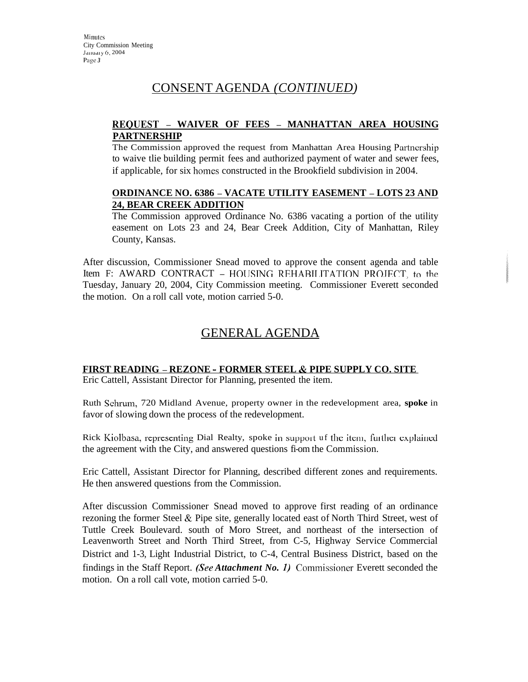## CONSENT AGENDA *(CONTINUED)*

## **REOUEST** - **WAIVER OF FEES** - **MANHATTAN AREA HOUSING PARTNERSHIP**

The Commission approved the request from Manhattan Area Housing Partnership to waive tlie building permit fees and authorized payment of water and sewer fees, if applicable, for six homes constructed in the Brookfield subdivision in 2004.

### **ORDINANCE NO. 6386** - **VACATE UTILITY EASEMENT** - **LOTS 23 AND 24, BEAR CREEK ADDITION**

The Commission approved Ordinance No. 6386 vacating a portion of the utility easement on Lots 23 and 24, Bear Creek Addition, City of Manhattan, Riley County, Kansas.

After discussion, Commissioner Snead moved to approve the consent agenda and table Item F: AWARD CONTRACT - HOUSING REHABILITATION PROJECT, to the Tuesday, January 20, 2004, City Commission meeting. Commissioner Everett seconded the motion. On a roll call vote, motion carried 5-0.

## GENERAL AGENDA

### **FIRST READING** - **REZONE** - **FORMER STEEL** & **PIPE SUPPLY CO. SITE**

Eric Cattell, Assistant Director for Planning, presented the item.

Ruth Schruin, 720 Midland Avenue, property owner in the redevelopment area, **spoke** in favor of slowing down the process of the redevelopment.

Rick Kiolbasa, representing Dial Realty, spoke in support uf the item, further explained the agreement with the City, and answered questions fi-om the Commission.

Eric Cattell, Assistant Director for Planning, described different zones and requirements. He then answered questions from the Commission.

After discussion Commissioner Snead moved to approve first reading of an ordinance rezoning the former Steel & Pipe site, generally located east of North Third Street, west of Tuttle Creek Boulevard. south of Moro Street, and northeast of the intersection of Leavenworth Street and North Third Street, from C-5, Highway Service Commercial District and 1-3, Light Industrial District, to C-4, Central Business District, based on the findings in the Staff Report. *(See Attachment No. 1)* Commissioner Everett seconded the motion. On a roll call vote, motion carried 5-0.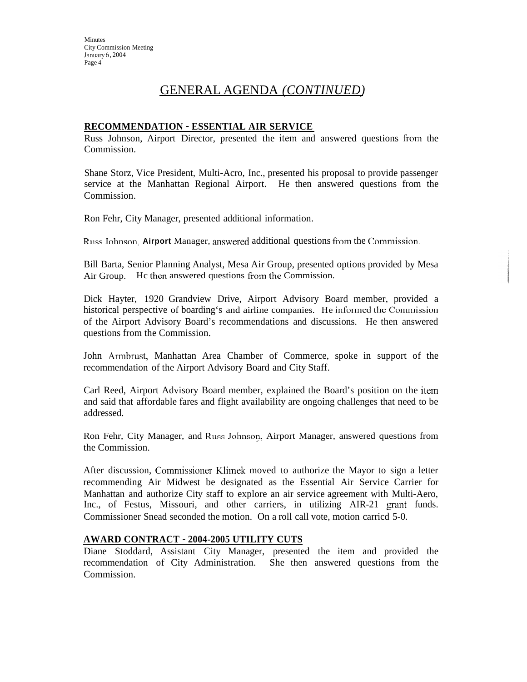**Minutes** City Commission Meeting January 6, 2004 Page 4

## GENERAL AGENDA *(CONTINUED)*

### **RECOMMENDATION** - **ESSENTIAL AIR SERVICE**

Russ Johnson, Airport Director, presented the item and answered questions from the Commission.

Shane Storz, Vice President, Multi-Acro, Inc., presented his proposal to provide passenger service at the Manhattan Regional Airport. He then answered questions from the Commission.

Ron Fehr, City Manager, presented additional information.

Russ Johnson, **Airport** Manager, answered additional questions from the Commission.

Bill Barta, Senior Planning Analyst, Mesa Air Group, presented options provided by Mesa Air Group. He then answered questions from the Commission.

Dick Hayter, 1920 Grandview Drive, Airport Advisory Board member, provided a historical perspective of boarding's and airline companies. He informed the Commission of the Airport Advisory Board's recommendations and discussions. He then answered questions from the Commission.

John Armbrust, Manhattan Area Chamber of Commerce, spoke in support of the recommendation of the Airport Advisory Board and City Staff.

Carl Reed, Airport Advisory Board member, explained the Board's position on the item and said that affordable fares and flight availability are ongoing challenges that need to be addressed.

Ron Fehr, City Manager, and Russ Johnson, Airport Manager, answered questions from the Commission.

After discussion, Commissioner Klimek moved to authorize the Mayor to sign a letter recommending Air Midwest be designated as the Essential Air Service Carrier for Manhattan and authorize City staff to explore an air service agreement with Multi-Aero, Inc., of Festus, Missouri, and other carriers, in utilizing AIR-21 grant funds. Commissioner Snead seconded the motion. On a roll call vote, motion carricd 5-0.

#### **AWARD CONTRACT** - **2004-2005 UTILITY CUTS**

Diane Stoddard, Assistant City Manager, presented the item and provided the recommendation of City Administration. She then answered questions from the Commission.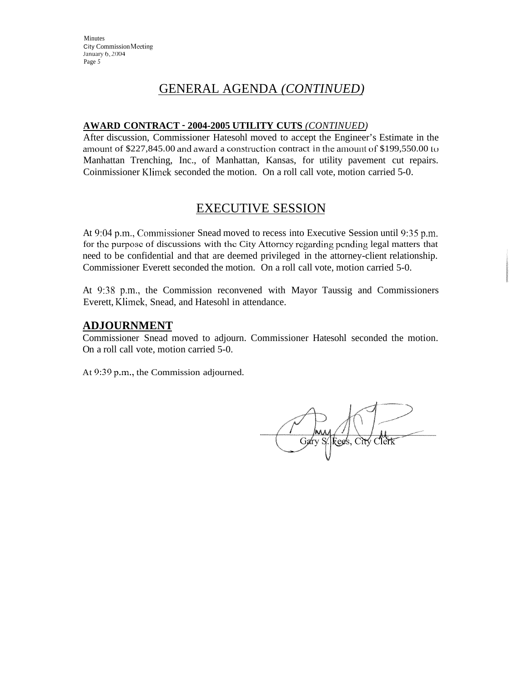# GENERAL AGENDA *(CONTINUED)*

## **AWARD CONTRACT** - **2004-2005 UTILITY CUTS** *(CONTINUED)*

After discussion, Commissioner Hatesohl moved to accept the Engineer's Estimate in the amount of \$227,845.00 and award a construction contract in the amount of \$199,550.00 to Manhattan Trenching, Inc., of Manhattan, Kansas, for utility pavement cut repairs. Coinmissioner Klimek seconded the motion. On a roll call vote, motion carried 5-0.

# EXECUTIVE SESSION

At 9:04 p.m., Commissioner Snead moved to recess into Executive Session until 9:35 p.m. for the purposc of discussions with thc City Attorncy rcgarding pcnding legal matters that need to be confidential and that are deemed privileged in the attorney-client relationship. Commissioner Everett seconded the motion. On a roll call vote, motion carried 5-0.

At 9:38 p.m., the Commission reconvened with Mayor Taussig and Commissioners Everett, Klimek, Snead, and Hatesohl in attendance.

## **ADJOURNMENT**

Commissioner Snead moved to adjourn. Commissioner Hatesohl seconded the motion. On a roll call vote, motion carried 5-0.

At 9:39 p.m., the Commission adjourned.

Gary S. Fees, City Clerk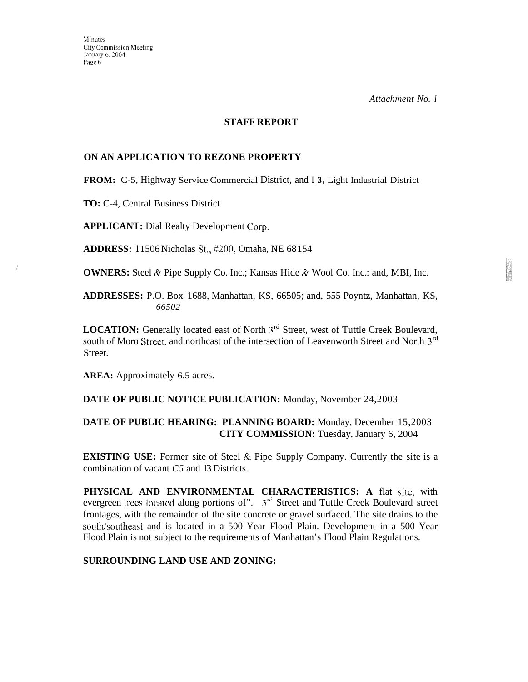*Attachment No. I* 

#### **STAFF REPORT**

#### **ON AN APPLICATION TO REZONE PROPERTY**

**FROM:** C-5, Highway Service Commercial District, and **I 3,** Light Industrial District

**TO:** C-4, Central Business District

**APPLICANT:** Dial Realty Development Corp.

**ADDRESS:** 1 1506 Nicholas St., #200, Omaha, NE 68 154

**OWNERS:** Steel & Pipe Supply Co. Inc.; Kansas Hide & Wool Co. Inc.: and, MBI, Inc.

**ADDRESSES:** P.O. Box 1688, Manhattan, KS, 66505; and, 555 Poyntz, Manhattan, KS, *66502* 

**LOCATION:** Generally located east of North 3<sup>rd</sup> Street, west of Tuttle Creek Boulevard, south of Moro Street, and northcast of the intersection of Leavenworth Street and North 3<sup>rd</sup> Street.

**AREA:** Approximately 6.5 acres.

**DATE OF PUBLIC NOTICE PUBLICATION:** Monday, November 24,2003

### **DATE OF PUBLIC HEARING: PLANNING BOARD:** Monday, December 15,2003 **CITY COMMISSION:** Tuesday, January 6, 2004

**EXISTING USE:** Former site of Steel & Pipe Supply Company. Currently the site is a combination of vacant *C5* and 13 Districts.

PHYSICAL AND ENVIRONMENTAL CHARACTERISTICS: A flat site, with evergreen trees located along portions of". 3<sup>rd</sup> Street and Tuttle Creek Boulevard street frontages, with the remainder of the site concrete or gravel surfaced. The site drains to the south/southeast and is located in a 500 Year Flood Plain. Development in a 500 Year Flood Plain is not subject to the requirements of Manhattan's Flood Plain Regulations.

### **SURROUNDING LAND USE AND ZONING:**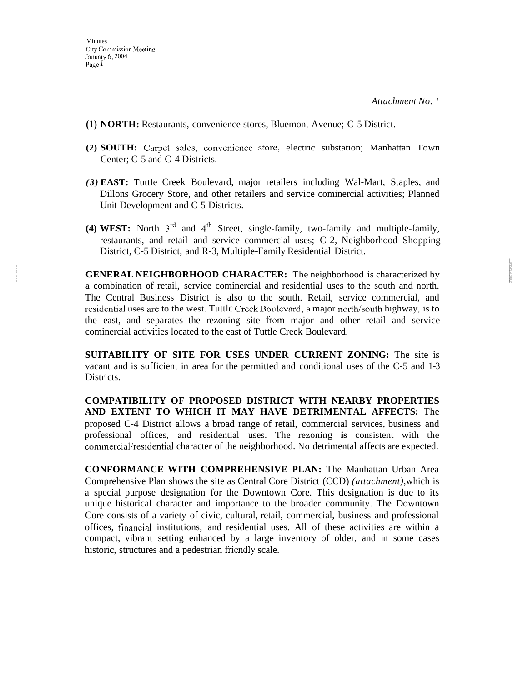*Attachment No. I* 

- **(1) NORTH:** Restaurants, convenience stores, Bluemont Avenue; C-5 District.
- **(2) SOUTH:** Carpet sales, convenience storc, electric substation; Manhattan Town Center; C-5 and C-4 Districts.
- *(3)* **EAST:** Tuttle Creek Boulevard, major retailers including Wal-Mart, Staples, and Dillons Grocery Store, and other retailers and service cominercial activities; Planned Unit Development and C-5 Districts.
- **(4) WEST:** North  $3^{rd}$  and  $4^{th}$  Street, single-family, two-family and multiple-family, restaurants, and retail and service commercial uses; C-2, Neighborhood Shopping District, C-5 District, and R-3, Multiple-Family Residential District.

**GENERAL NEIGHBORHOOD CHARACTER:** The neighborhood is characterized by a combination of retail, service cominercial and residential uses to the south and north. The Central Business District is also to the south. Retail, service commercial, and residential uses **are** to the west. Tuttlc Crcck Doulcvard, a major north/south highway, is to the east, and separates the rezoning site from major and other retail and service cominercial activities located to the east of Tuttle Creek Boulevard.

**SUITABILITY OF SITE FOR USES UNDER CURRENT ZONING:** The site is vacant and is sufficient in area for the permitted and conditional uses of the C-5 and 1-3 Districts.

**COMPATIBILITY OF PROPOSED DISTRICT WITH NEARBY PROPERTIES AND EXTENT TO WHICH IT MAY HAVE DETRIMENTAL AFFECTS:** The proposed C-4 District allows a broad range of retail, commercial services, business and professional offices, and residential uses. The rezoning **is** consistent with the commercial/residential character of the neighborhood. No detrimental affects are expected.

**CONFORMANCE WITH COMPREHENSIVE PLAN:** The Manhattan Urban Area Comprehensive Plan shows the site as Central Core District (CCD) *(attachment),* which is a special purpose designation for the Downtown Core. This designation is due to its unique historical character and importance to the broader community. The Downtown Core consists of a variety of civic, cultural, retail, commercial, business and professional offices, financial institutions, and residential uses. All of these activities are within a compact, vibrant setting enhanced by a large inventory of older, and in some cases historic, structures and a pedestrian friendly scale.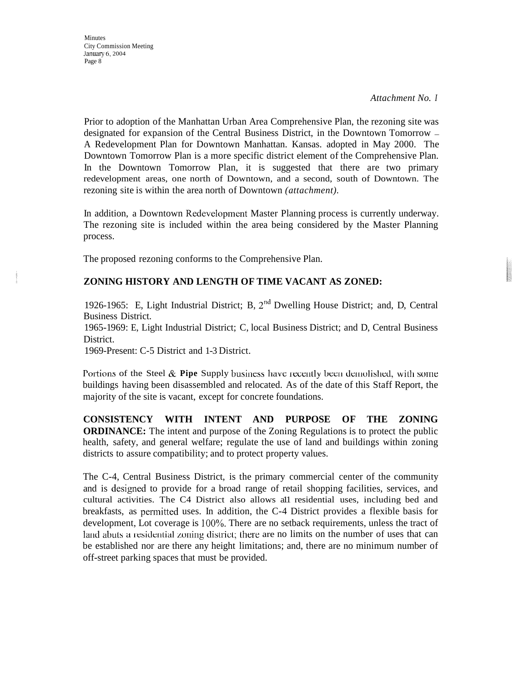*Attachment No. I* 

Prior to adoption of the Manhattan Urban Area Comprehensive Plan, the rezoning site was designated for expansion of the Central Business District, in the Downtown Tomorrow - A Redevelopment Plan for Downtown Manhattan. Kansas. adopted in May 2000. The Downtown Tomorrow Plan is a more specific district element of the Comprehensive Plan. In the Downtown Tomorrow Plan, it is suggested that there are two primary redevelopment areas, one north of Downtown, and a second, south of Downtown. The rezoning site is within the area north of Downtown *(attachment).* 

In addition, a Downtown Redevelopment Master Planning process is currently underway. The rezoning site is included within the area being considered by the Master Planning process.

The proposed rezoning conforms to the Comprehensive Plan.

## **ZONING HISTORY AND LENGTH OF TIME VACANT AS ZONED:**

1926-1965: E, Light Industrial District; B,  $2<sup>nd</sup>$  Dwelling House District; and, D, Central Business District.

1965-1969: E, Light Industrial District; C, local Business District; and D, Central Business District.

1969-Present: C-5 District and 1-3 District.

Portions of the Steel & **Pipe** Supply business have recently been demolished, with some buildings having been disassembled and relocated. As of the date of this Staff Report, the majority of the site is vacant, except for concrete foundations.

**CONSISTENCY WITH INTENT AND PURPOSE OF THE ZONING ORDINANCE:** The intent and purpose of the Zoning Regulations is to protect the public health, safety, and general welfare; regulate the use of land and buildings within zoning districts to assure compatibility; and to protect property values.

The C-4, Central Business District, is the primary commercial center of the community and is designed to provide for a broad range of retail shopping facilities, services, and cultural activities. The C4 District also allows a11 residential uses, including bed and breakfasts, as permitted uses. In addition, the C-4 District provides a flexible basis for development, Lot coverage is 100%. There are no setback requirements, unless the tract of land abuts a residential zoning district; there are no limits on the number of uses that can be established nor are there any height limitations; and, there are no minimum number of off-street parking spaces that must be provided.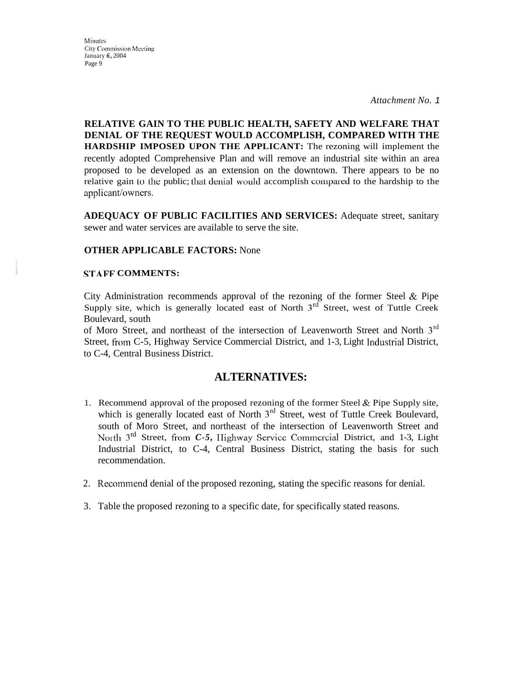Minutes City Commission Meeting January *6,* 2004 Page 9

*Attachment No. 1* 

**RELATIVE GAIN TO THE PUBLIC HEALTH, SAFETY AND WELFARE THAT DENIAL OF THE REQUEST WOULD ACCOMPLISH, COMPARED WITH THE HARDSHIP IMPOSED UPON THE APPLICANT:** The rezoning will implement the recently adopted Comprehensive Plan and will remove an industrial site within an area proposed to be developed as an extension on the downtown. There appears to be no relative gain to the public; that denial would accomplish compared to the hardship to the applicant/owners.

**ADEQUACY OF PUBLIC FACILITIES AN I) SERVICES:** Adequate street, sanitary sewer and water services are available to serve the site.

#### **OTHER APPLICABLE FACTORS:** None

#### **STAFF COMMENTS:**

City Administration recommends approval of the rezoning of the former Steel & Pipe Supply site, which is generally located east of North  $3<sup>rd</sup>$  Street, west of Tuttle Creek Boulevard, south

of Moro Street, and northeast of the intersection of Leavenworth Street and North 3'd Street, from C-5, Highway Service Commercial District, and 1-3, Light Industrial District, to C-4, Central Business District.

### **ALTERNATIVES:**

- 1. Recommend approval of the proposed rezoning of the former Steel & Pipe Supply site, which is generally located east of North 3<sup>rd</sup> Street, west of Tuttle Creek Boulevard, south of Moro Street, and northeast of the intersection of Leavenworth Street and North 3<sup>rd</sup> Street, from *C-5*, Highway Service Commercial District, and 1-3, Light Industrial District, to C-4, Central Business District, stating the basis for such recommendation.
- 2. Recommend denial of the proposed rezoning, stating the specific reasons for denial.
- 3. Table the proposed rezoning to a specific date, for specifically stated reasons.